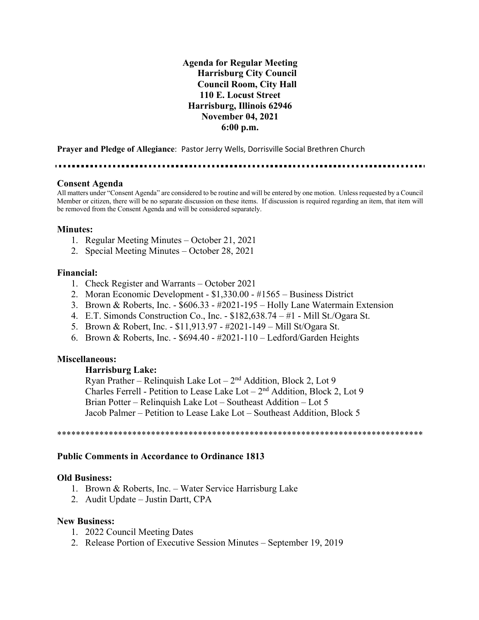**Agenda for Regular Meeting Harrisburg City Council Council Room, City Hall 110 E. Locust Street Harrisburg, Illinois 62946 November 04, 2021 6:00 p.m.**

**Prayer and Pledge of Allegiance**: Pastor Jerry Wells, Dorrisville Social Brethren Church

### **Consent Agenda**

All matters under "Consent Agenda" are considered to be routine and will be entered by one motion. Unless requested by a Council Member or citizen, there will be no separate discussion on these items. If discussion is required regarding an item, that item will be removed from the Consent Agenda and will be considered separately.

## **Minutes:**

- 1. Regular Meeting Minutes October 21, 2021
- 2. Special Meeting Minutes October 28, 2021

### **Financial:**

- 1. Check Register and Warrants October 2021
- 2. Moran Economic Development \$1,330.00 #1565 Business District
- 3. Brown & Roberts, Inc. \$606.33 #2021-195 Holly Lane Watermain Extension
- 4. E.T. Simonds Construction Co., Inc. \$182,638.74 #1 Mill St./Ogara St.
- 5. Brown & Robert, Inc. \$11,913.97 #2021-149 Mill St/Ogara St.
- 6. Brown & Roberts, Inc. \$694.40 #2021-110 Ledford/Garden Heights

## **Miscellaneous:**

## **Harrisburg Lake:**

Ryan Prather – Relinquish Lake Lot –  $2<sup>nd</sup>$  Addition, Block 2, Lot 9 Charles Ferrell - Petition to Lease Lake Lot  $-2<sup>nd</sup>$  Addition, Block 2, Lot 9 Brian Potter – Relinquish Lake Lot – Southeast Addition – Lot 5 Jacob Palmer – Petition to Lease Lake Lot – Southeast Addition, Block 5

\*\*\*\*\*\*\*\*\*\*\*\*\*\*\*\*\*\*\*\*\*\*\*\*\*\*\*\*\*\*\*\*\*\*\*\*\*\*\*\*\*\*\*\*\*\*\*\*\*\*\*\*\*\*\*\*\*\*\*\*\*\*\*\*\*\*\*\*\*\*\*\*\*\*\*\*\*\*

## **Public Comments in Accordance to Ordinance 1813**

### **Old Business:**

- 1. Brown & Roberts, Inc. Water Service Harrisburg Lake
- 2. Audit Update Justin Dartt, CPA

## **New Business:**

- 1. 2022 Council Meeting Dates
- 2. Release Portion of Executive Session Minutes September 19, 2019